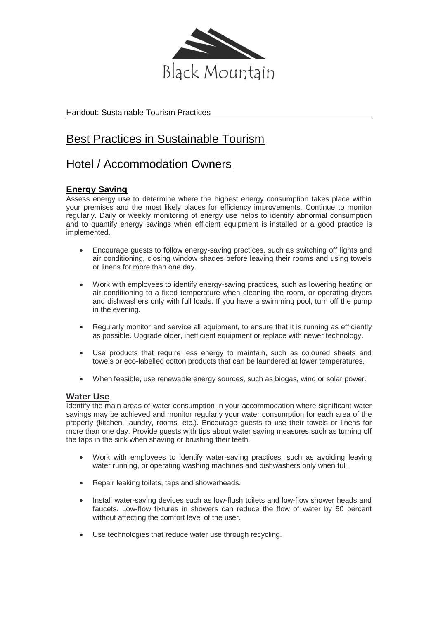

Handout: Sustainable Tourism Practices

# Best Practices in Sustainable Tourism

# Hotel / Accommodation Owners

## **Energy Saving**

Assess energy use to determine where the highest energy consumption takes place within your premises and the most likely places for efficiency improvements. Continue to monitor regularly. Daily or weekly monitoring of energy use helps to identify abnormal consumption and to quantify energy savings when efficient equipment is installed or a good practice is implemented.

- Encourage guests to follow energy-saving practices, such as switching off lights and air conditioning, closing window shades before leaving their rooms and using towels or linens for more than one day.
- Work with employees to identify energy-saving practices, such as lowering heating or air conditioning to a fixed temperature when cleaning the room, or operating dryers and dishwashers only with full loads. If you have a swimming pool, turn off the pump in the evening.
- Regularly monitor and service all equipment, to ensure that it is running as efficiently as possible. Upgrade older, inefficient equipment or replace with newer technology.
- Use products that require less energy to maintain, such as coloured sheets and towels or eco-labelled cotton products that can be laundered at lower temperatures.
- When feasible, use renewable energy sources, such as biogas, wind or solar power.

## **Water Use**

Identify the main areas of water consumption in your accommodation where significant water savings may be achieved and monitor regularly your water consumption for each area of the property (kitchen, laundry, rooms, etc.). Encourage guests to use their towels or linens for more than one day. Provide guests with tips about water saving measures such as turning off the taps in the sink when shaving or brushing their teeth.

- Work with employees to identify water-saving practices, such as avoiding leaving water running, or operating washing machines and dishwashers only when full.
- Repair leaking toilets, taps and showerheads.
- Install water-saving devices such as low-flush toilets and low-flow shower heads and faucets. Low-flow fixtures in showers can reduce the flow of water by 50 percent without affecting the comfort level of the user.
- Use technologies that reduce water use through recycling.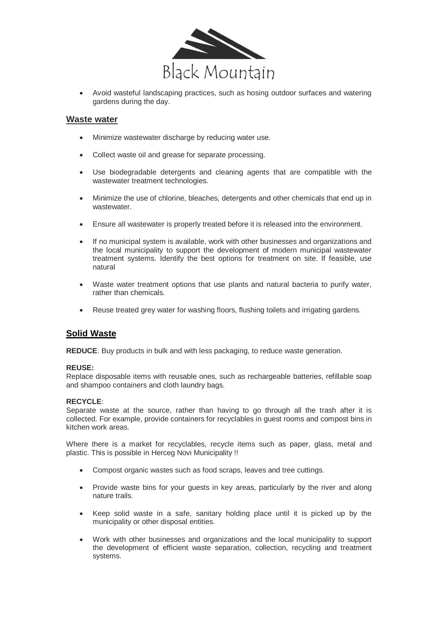

 Avoid wasteful landscaping practices, such as hosing outdoor surfaces and watering gardens during the day.

#### **Waste water**

- Minimize wastewater discharge by reducing water use.
- Collect waste oil and grease for separate processing.
- Use biodegradable detergents and cleaning agents that are compatible with the wastewater treatment technologies.
- Minimize the use of chlorine, bleaches, detergents and other chemicals that end up in wastewater
- Ensure all wastewater is properly treated before it is released into the environment.
- If no municipal system is available, work with other businesses and organizations and the local municipality to support the development of modern municipal wastewater treatment systems. Identify the best options for treatment on site. If feasible, use natural
- Waste water treatment options that use plants and natural bacteria to purify water, rather than chemicals.
- Reuse treated grey water for washing floors, flushing toilets and irrigating gardens.

## **Solid Waste**

**REDUCE**: Buy products in bulk and with less packaging, to reduce waste generation.

#### **REUSE:**

Replace disposable items with reusable ones, such as rechargeable batteries, refillable soap and shampoo containers and cloth laundry bags.

#### **RECYCLE**:

Separate waste at the source, rather than having to go through all the trash after it is collected. For example, provide containers for recyclables in guest rooms and compost bins in kitchen work areas.

Where there is a market for recyclables, recycle items such as paper, glass, metal and plastic. This is possible in Herceg Novi Municipality !!

- Compost organic wastes such as food scraps, leaves and tree cuttings.
- Provide waste bins for your guests in key areas, particularly by the river and along nature trails.
- Keep solid waste in a safe, sanitary holding place until it is picked up by the municipality or other disposal entities.
- Work with other businesses and organizations and the local municipality to support the development of efficient waste separation, collection, recycling and treatment systems.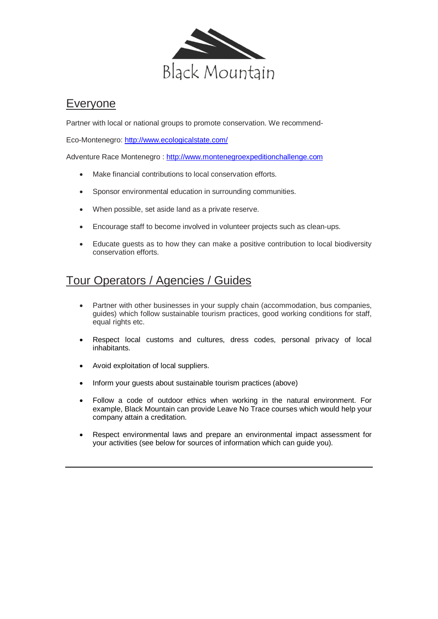

# Everyone

Partner with local or national groups to promote conservation. We recommend-

Eco-Montenegro:<http://www.ecologicalstate.com/>

Adventure Race Montenegro : [http://www.montenegroexpeditionchallenge.com](http://www.montenegroexpeditionchallenge.com/)

- Make financial contributions to local conservation efforts.
- Sponsor environmental education in surrounding communities.
- When possible, set aside land as a private reserve.
- Encourage staff to become involved in volunteer projects such as clean-ups.
- Educate guests as to how they can make a positive contribution to local biodiversity conservation efforts.

# Tour Operators / Agencies / Guides

- Partner with other businesses in your supply chain (accommodation, bus companies, guides) which follow sustainable tourism practices, good working conditions for staff, equal rights etc.
- Respect local customs and cultures, dress codes, personal privacy of local inhabitants.
- Avoid exploitation of local suppliers.
- Inform your guests about sustainable tourism practices (above)
- Follow a code of outdoor ethics when working in the natural environment. For example, Black Mountain can provide Leave No Trace courses which would help your company attain a creditation.
- Respect environmental laws and prepare an environmental impact assessment for your activities (see below for sources of information which can guide you).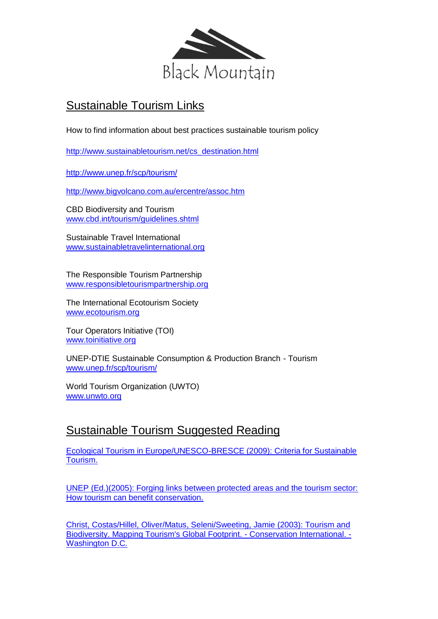

# Sustainable Tourism Links

How to find information about best practices sustainable tourism policy

[http://www.sustainabletourism.net/cs\\_destination.html](http://www.sustainabletourism.net/cs_destination.html)

<http://www.unep.fr/scp/tourism/>

<http://www.bigvolcano.com.au/ercentre/assoc.htm>

CBD Biodiversity and Tourism [www.cbd.int/tourism/guidelines.shtml](http://www.cbd.int/tourism/guidelines.shtml)

Sustainable Travel International [www.sustainabletravelinternational.org](http://www.sustainabletravelinternational.org/) 

The Responsible Tourism Partnership [www.responsibletourismpartnership.org](http://www.responsibletourismpartnership.org/) 

The International Ecotourism Society [www.ecotourism.org](http://www.ecotourism.org/) 

Tour Operators Initiative (TOI) [www.toinitiative.org](http://www.toinitiative.org/) 

UNEP-DTIE Sustainable Consumption & Production Branch - Tourism [www.unep.fr/scp/tourism/](http://www.unep.fr/scp/tourism/)

World Tourism Organization (UWTO) [www.unwto.org](http://www.unwto.org/)

# Sustainable Tourism Suggested Reading

[Ecological Tourism in Europe/UNESCO-BRESCE \(2009\): Criteria for Sustainable](https://webmailcluster.1and1.co.uk/xml/download/workshop_literature/ETE_2009_Criteria_Sustainable_Tourism.pdf)  [Tourism.](https://webmailcluster.1and1.co.uk/xml/download/workshop_literature/ETE_2009_Criteria_Sustainable_Tourism.pdf) 

[UNEP \(Ed.\)\(2005\): Forging links between protected areas and the tourism sector:](https://webmailcluster.1and1.co.uk/xml/download/workshop_literature/UNEP_2005_Forging_links.pdf)  [How tourism can benefit conservation.](https://webmailcluster.1and1.co.uk/xml/download/workshop_literature/UNEP_2005_Forging_links.pdf) 

[Christ, Costas/Hillel, Oliver/Matus, Seleni/Sweeting, Jamie \(2003\): Tourism and](http://www.unep.org/PDF/Tourism-and-biodiversity.pdf)  [Biodiversity. Mapping Tourism's Global Footprint. -](http://www.unep.org/PDF/Tourism-and-biodiversity.pdf) Conservation International. - Washington D.C.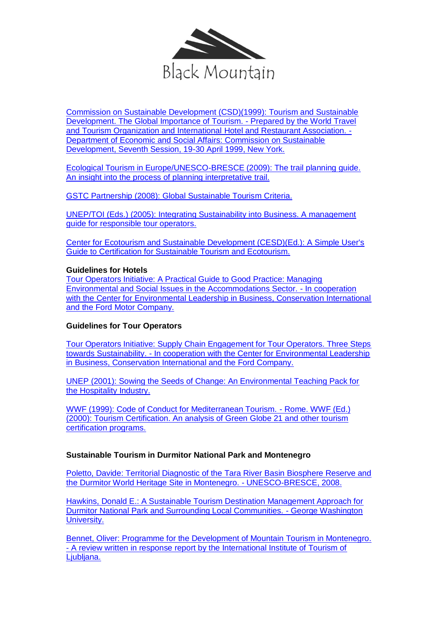

[Commission on Sustainable Development \(CSD\)\(1999\): Tourism and Sustainable](http://www.gdrc.org/uem/eco-tour/wttc.pdf)  [Development. The Global Importance of Tourism. -](http://www.gdrc.org/uem/eco-tour/wttc.pdf) Prepared by the World Travel [and Tourism Organization and International](http://www.gdrc.org/uem/eco-tour/wttc.pdf) Hotel and Restaurant Association. - [Department of Economic and Social Affairs: Commission on Sustainable](http://www.gdrc.org/uem/eco-tour/wttc.pdf)  [Development, Seventh Session, 19-30 April 1999, New York.](http://www.gdrc.org/uem/eco-tour/wttc.pdf) 

Ecological Tourism in Europe/UNESCO-BRESCE (2009): The trail planning guide. An insight into the process of planning interpretative trail.

[GSTC Partnership \(2008\): Global Sustainable Tourism Criteria.](http://www.sustainabletourismcriteria.org/images/Documents/Versions/global%20sustainable%20tourism%20criteria%20version%205.pdf) 

[UNEP/TOI \(Eds.\) \(2005\): Integrating Sustainability into Business. A management](http://www.toinitiative.org/fileadmin/docs/publications/Sustainability_in_Business_-_Management.pdf)  [guide for responsible tour operators.](http://www.toinitiative.org/fileadmin/docs/publications/Sustainability_in_Business_-_Management.pdf) 

[Center for Ecotourism and Sustainable Development \(CESD\)\(Ed.\): A Simple User's](http://www.rainforest-alliance.org/tourism/documents/users_guide.pdf)  [Guide to Certification for Sustainable Tourism and Ecotourism.](http://www.rainforest-alliance.org/tourism/documents/users_guide.pdf) 

### **Guidelines for Hotels**

[Tour Operators Initiative: A Practical Guide to Good Practice: Managing](http://www.toinitiative.org/fileadmin/docs/publications/HotelGuideEnglish.pdf)  [Environmental and Social Issues in the Accommodations Sector. -](http://www.toinitiative.org/fileadmin/docs/publications/HotelGuideEnglish.pdf) In cooperation [with the Center for Environmental Leadership in Business, Conservation International](http://www.toinitiative.org/fileadmin/docs/publications/HotelGuideEnglish.pdf)  [and the Ford Motor Company.](http://www.toinitiative.org/fileadmin/docs/publications/HotelGuideEnglish.pdf) 

## **Guidelines for Tour Operators**

[Tour Operators Initiative: Supply Chain Engagement for Tour Operators. Three Steps](http://www.toinitiative.org/fileadmin/docs/publications/SupplyChainEngagement.pdf)  towards Sustainability. - [In cooperation with the Center for Environmental Leadership](http://www.toinitiative.org/fileadmin/docs/publications/SupplyChainEngagement.pdf)  [in Business, Conservation International and the Ford Company.](http://www.toinitiative.org/fileadmin/docs/publications/SupplyChainEngagement.pdf) 

[UNEP \(2001\): Sowing the Seeds of Change: An Environmental Teaching Pack for](https://webmailcluster.1and1.co.uk/xml/download/workshop_literature/UNEP_2001_Sowing.pdf)  [the Hospitality Industry.](https://webmailcluster.1and1.co.uk/xml/download/workshop_literature/UNEP_2001_Sowing.pdf) 

[WWF \(1999\): Code of Conduct for Mediterranean Tourism. -](http://www.monachus-guardian.org/library/medpro01.pdf) Rome. [WWF \(Ed.\)](http://www.monachus-guardian.org/library/medpro01.pdf)  (2000): Tourism Certification. An analysis of Green Globe 21 and other tourism certification programs.

## **Sustainable Tourism in Durmitor National Park and Montenegro**

[Poletto, Davide: Territorial Diagnostic of the Tara River Basin Biosphere Reserve and](https://webmailcluster.1and1.co.uk/xml/download/workshop_literature/Poletto.pdf)  [the Durmitor World Heritage Site in Montenegro. -](https://webmailcluster.1and1.co.uk/xml/download/workshop_literature/Poletto.pdf) UNESCO-BRESCE, 2008.

[Hawkins, Donald E.: A Sustainable Tourism Destination Management Approach for](https://webmailcluster.1and1.co.uk/xml/download/workshop_literature/Hawkins.ppt)  [Durmitor National Park and Surrounding Local Communities. -](https://webmailcluster.1and1.co.uk/xml/download/workshop_literature/Hawkins.ppt) George Washington [University.](https://webmailcluster.1and1.co.uk/xml/download/workshop_literature/Hawkins.ppt) 

[Bennet, Oliver: Programme for the Development of Mountain Tourism in Montenegro.](https://webmailcluster.1and1.co.uk/xml/download/workshop_literature/Bennet.pdf)  - [A review written in response report by the International Institute of Tourism of](https://webmailcluster.1and1.co.uk/xml/download/workshop_literature/Bennet.pdf) [Ljubljana.](https://webmailcluster.1and1.co.uk/xml/download/workshop_literature/Bennet.pdf)